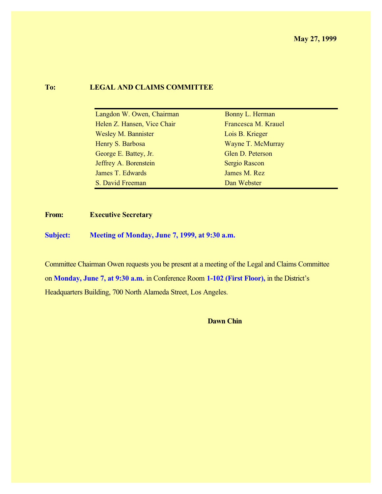### **To: LEGAL AND CLAIMS COMMITTEE**

| Langdon W. Owen, Chairman   | Bonny L. Herman      |
|-----------------------------|----------------------|
| Helen Z. Hansen, Vice Chair | Francesca M. Krauel  |
| <b>Wesley M. Bannister</b>  | Lois B. Krieger      |
| Henry S. Barbosa            | Wayne T. McMurray    |
| George E. Battey, Jr.       | Glen D. Peterson     |
| Jeffrey A. Borenstein       | <b>Sergio Rascon</b> |
| James T. Edwards            | James M. Rez         |
| S. David Freeman            | Dan Webster          |

**From: Executive Secretary**

**Subject: Meeting of Monday, June 7, 1999, at 9:30 a.m.**

Committee Chairman Owen requests you be present at a meeting of the Legal and Claims Committee on **Monday, June 7, at 9:30 a.m.** in Conference Room **1-102 (First Floor),** in the District's Headquarters Building, 700 North Alameda Street, Los Angeles.

**Dawn Chin**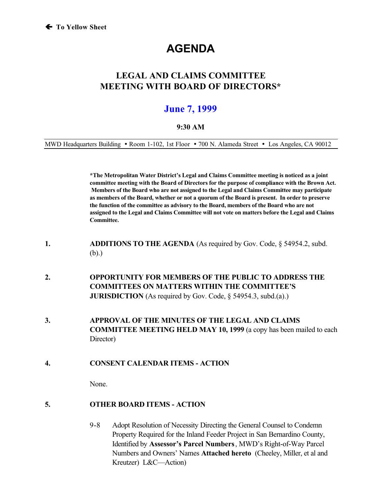# **AGENDA**

# **LEGAL AND CLAIMS COMMITTEE MEETING WITH BOARD OF DIRECTORS\***

# **June 7, 1999**

#### **9:30 AM**

MWD Headquarters Building • Room 1-102, 1st Floor • 700 N. Alameda Street • Los Angeles, CA 90012

**\*The Metropolitan Water District's Legal and Claims Committee meeting is noticed as a joint committee meeting with the Board of Directors for the purpose of compliance with the Brown Act. Members of the Board who are not assigned to the Legal and Claims Committee may participate as members of the Board, whether or not a quorum of the Board is present. In order to preserve the function of the committee as advisory to the Board, members of the Board who are not assigned to the Legal and Claims Committee will not vote on matters before the Legal and Claims Committee.**

- **1. ADDITIONS TO THE AGENDA** (As required by Gov. Code, § 54954.2, subd. (b).)
- **2. OPPORTUNITY FOR MEMBERS OF THE PUBLIC TO ADDRESS THE COMMITTEES ON MATTERS WITHIN THE COMMITTEE'S JURISDICTION** (As required by Gov. Code, § 54954.3, subd.(a).)
- **3. APPROVAL OF THE MINUTES OF THE LEGAL AND CLAIMS COMMITTEE MEETING HELD MAY 10, 1999** (a copy has been mailed to each Director)
- **4. CONSENT CALENDAR ITEMS ACTION**

None.

- **5. OTHER BOARD ITEMS ACTION**
	- 9-8 Adopt Resolution of Necessity Directing the General Counsel to Condemn Property Required for the Inland Feeder Project in San Bernardino County, Identified by **Assessor's Parcel Numbers**, MWD's Right-of-Way Parcel Numbers and Owners' Names **Attached hereto** (Cheeley, Miller, et al and Kreutzer) L&C—Action)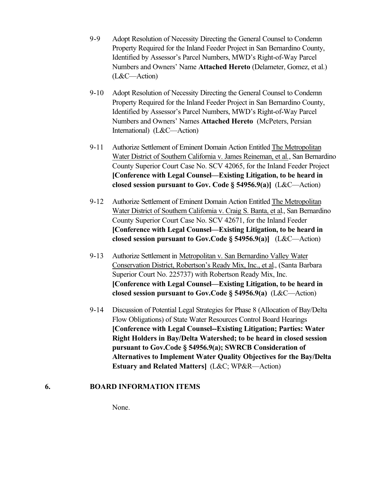- 9-9 Adopt Resolution of Necessity Directing the General Counsel to Condemn Property Required for the Inland Feeder Project in San Bernardino County, Identified by Assessor's Parcel Numbers, MWD's Right-of-Way Parcel Numbers and Owners' Name **Attached Hereto** (Delameter, Gomez, et al.) (L&C—Action)
- 9-10 Adopt Resolution of Necessity Directing the General Counsel to Condemn Property Required for the Inland Feeder Project in San Bernardino County, Identified by Assessor's Parcel Numbers, MWD's Right-of-Way Parcel Numbers and Owners' Names **Attached Hereto** (McPeters, Persian International) (L&C—Action)
- 9-11 Authorize Settlement of Eminent Domain Action Entitled The Metropolitan Water District of Southern California v. James Reineman, et al., San Bernardino County Superior Court Case No. SCV 42065, for the Inland Feeder Project **[Conference with Legal Counsel—Existing Litigation, to be heard in closed session pursuant to Gov. Code § 54956.9(a)]** (L&C—Action)
- 9-12 Authorize Settlement of Eminent Domain Action Entitled The Metropolitan Water District of Southern California v. Craig S. Banta, et al., San Bernardino County Superior Court Case No. SCV 42671, for the Inland Feeder **[Conference with Legal Counsel—Existing Litigation, to be heard in closed session pursuant to Gov.Code § 54956.9(a)]** (L&C—Action)
- 9-13 Authorize Settlement in Metropolitan v. San Bernardino Valley Water Conservation District, Robertson's Ready Mix, Inc., et al., (Santa Barbara Superior Court No. 225737) with Robertson Ready Mix, Inc. **[Conference with Legal Counsel—Existing Litigation, to be heard in closed session pursuant to Gov.Code § 54956.9(a)** (L&C—Action)
- 9-14 Discussion of Potential Legal Strategies for Phase 8 (Allocation of Bay/Delta Flow Obligations) of State Water Resources Control Board Hearings **[Conference with Legal Counsel--Existing Litigation; Parties: Water Right Holders in Bay/Delta Watershed; to be heard in closed session pursuant to Gov.Code § 54956.9(a); SWRCB Consideration of Alternatives to Implement Water Quality Objectives for the Bay/Delta Estuary and Related Matters]** (L&C; WP&R—Action)

### **6. BOARD INFORMATION ITEMS**

None.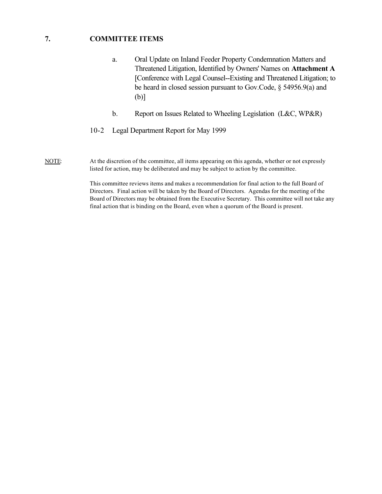#### **7. COMMITTEE ITEMS**

- a. Oral Update on Inland Feeder Property Condemnation Matters and Threatened Litigation, Identified by Owners' Names on **Attachment A** [Conference with Legal Counsel--Existing and Threatened Litigation; to be heard in closed session pursuant to Gov.Code, § 54956.9(a) and (b)]
- b. Report on Issues Related to Wheeling Legislation (L&C, WP&R)
- 10-2 Legal Department Report for May 1999
- NOTE: At the discretion of the committee, all items appearing on this agenda, whether or not expressly listed for action, may be deliberated and may be subject to action by the committee.

This committee reviews items and makes a recommendation for final action to the full Board of Directors. Final action will be taken by the Board of Directors. Agendas for the meeting of the Board of Directors may be obtained from the Executive Secretary. This committee will not take any final action that is binding on the Board, even when a quorum of the Board is present.